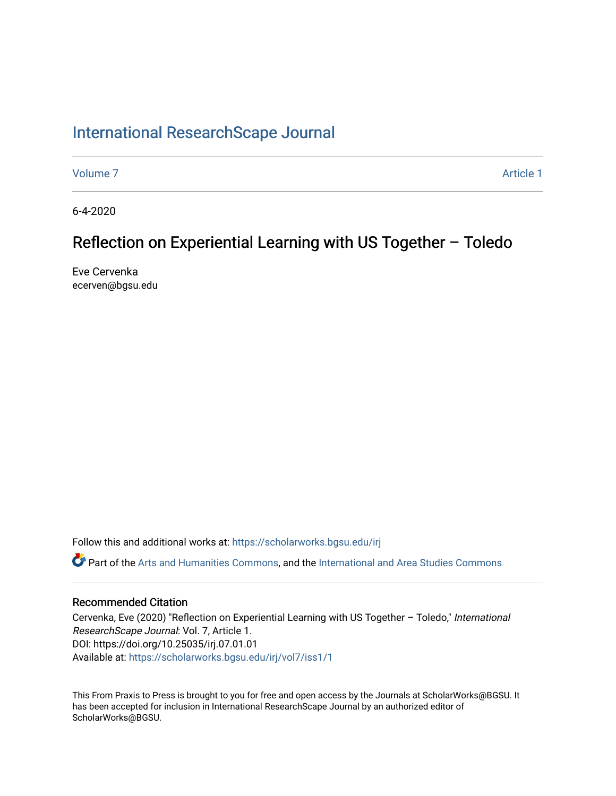# [International ResearchScape Journal](https://scholarworks.bgsu.edu/irj)

[Volume 7](https://scholarworks.bgsu.edu/irj/vol7) Article 1

6-4-2020

# Reflection on Experiential Learning with US Together – Toledo

Eve Cervenka ecerven@bgsu.edu

Follow this and additional works at: [https://scholarworks.bgsu.edu/irj](https://scholarworks.bgsu.edu/irj?utm_source=scholarworks.bgsu.edu%2Firj%2Fvol7%2Fiss1%2F1&utm_medium=PDF&utm_campaign=PDFCoverPages)  Part of the [Arts and Humanities Commons,](http://network.bepress.com/hgg/discipline/438?utm_source=scholarworks.bgsu.edu%2Firj%2Fvol7%2Fiss1%2F1&utm_medium=PDF&utm_campaign=PDFCoverPages) and the [International and Area Studies Commons](http://network.bepress.com/hgg/discipline/360?utm_source=scholarworks.bgsu.edu%2Firj%2Fvol7%2Fiss1%2F1&utm_medium=PDF&utm_campaign=PDFCoverPages)

### Recommended Citation

Cervenka, Eve (2020) "Reflection on Experiential Learning with US Together – Toledo," International ResearchScape Journal: Vol. 7, Article 1. DOI: https://doi.org/10.25035/irj.07.01.01 Available at: [https://scholarworks.bgsu.edu/irj/vol7/iss1/1](https://scholarworks.bgsu.edu/irj/vol7/iss1/1?utm_source=scholarworks.bgsu.edu%2Firj%2Fvol7%2Fiss1%2F1&utm_medium=PDF&utm_campaign=PDFCoverPages)

This From Praxis to Press is brought to you for free and open access by the Journals at ScholarWorks@BGSU. It has been accepted for inclusion in International ResearchScape Journal by an authorized editor of ScholarWorks@BGSU.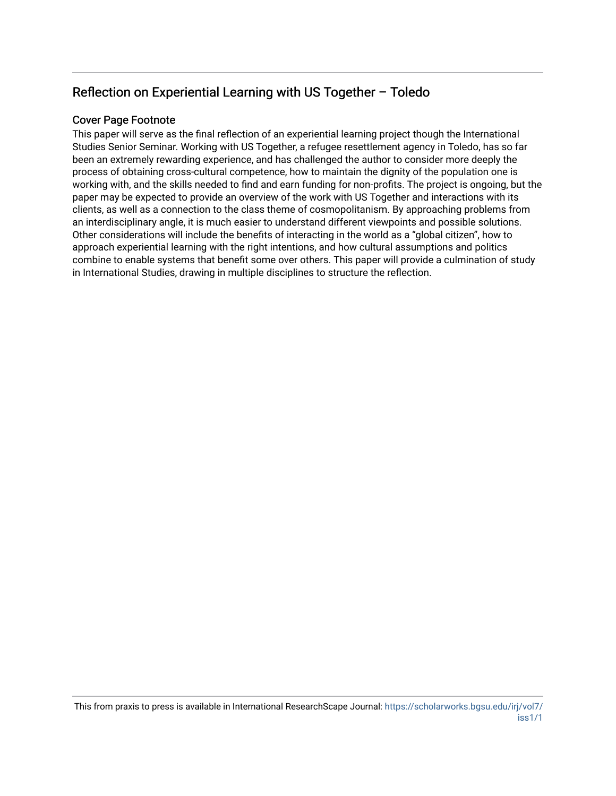# Reflection on Experiential Learning with US Together – Toledo

### Cover Page Footnote

This paper will serve as the final reflection of an experiential learning project though the International Studies Senior Seminar. Working with US Together, a refugee resettlement agency in Toledo, has so far been an extremely rewarding experience, and has challenged the author to consider more deeply the process of obtaining cross-cultural competence, how to maintain the dignity of the population one is working with, and the skills needed to find and earn funding for non-profits. The project is ongoing, but the paper may be expected to provide an overview of the work with US Together and interactions with its clients, as well as a connection to the class theme of cosmopolitanism. By approaching problems from an interdisciplinary angle, it is much easier to understand different viewpoints and possible solutions. Other considerations will include the benefits of interacting in the world as a "global citizen", how to approach experiential learning with the right intentions, and how cultural assumptions and politics combine to enable systems that benefit some over others. This paper will provide a culmination of study in International Studies, drawing in multiple disciplines to structure the reflection.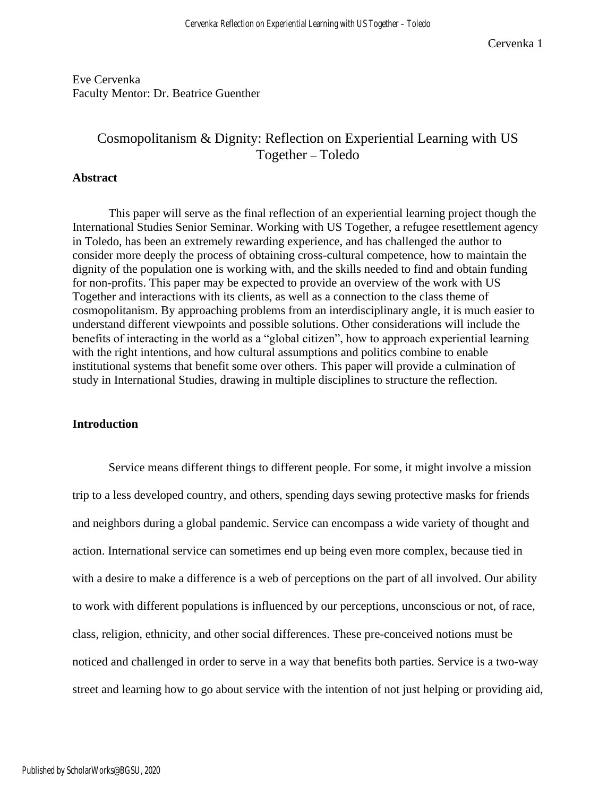Eve Cervenka Faculty Mentor: Dr. Beatrice Guenther

## Cosmopolitanism & Dignity: Reflection on Experiential Learning with US Together – Toledo

#### **Abstract**

This paper will serve as the final reflection of an experiential learning project though the International Studies Senior Seminar. Working with US Together, a refugee resettlement agency in Toledo, has been an extremely rewarding experience, and has challenged the author to consider more deeply the process of obtaining cross-cultural competence, how to maintain the dignity of the population one is working with, and the skills needed to find and obtain funding for non-profits. This paper may be expected to provide an overview of the work with US Together and interactions with its clients, as well as a connection to the class theme of cosmopolitanism. By approaching problems from an interdisciplinary angle, it is much easier to understand different viewpoints and possible solutions. Other considerations will include the benefits of interacting in the world as a "global citizen", how to approach experiential learning with the right intentions, and how cultural assumptions and politics combine to enable institutional systems that benefit some over others. This paper will provide a culmination of study in International Studies, drawing in multiple disciplines to structure the reflection.

#### **Introduction**

Service means different things to different people. For some, it might involve a mission trip to a less developed country, and others, spending days sewing protective masks for friends and neighbors during a global pandemic. Service can encompass a wide variety of thought and action. International service can sometimes end up being even more complex, because tied in with a desire to make a difference is a web of perceptions on the part of all involved. Our ability to work with different populations is influenced by our perceptions, unconscious or not, of race, class, religion, ethnicity, and other social differences. These pre-conceived notions must be noticed and challenged in order to serve in a way that benefits both parties. Service is a two-way street and learning how to go about service with the intention of not just helping or providing aid,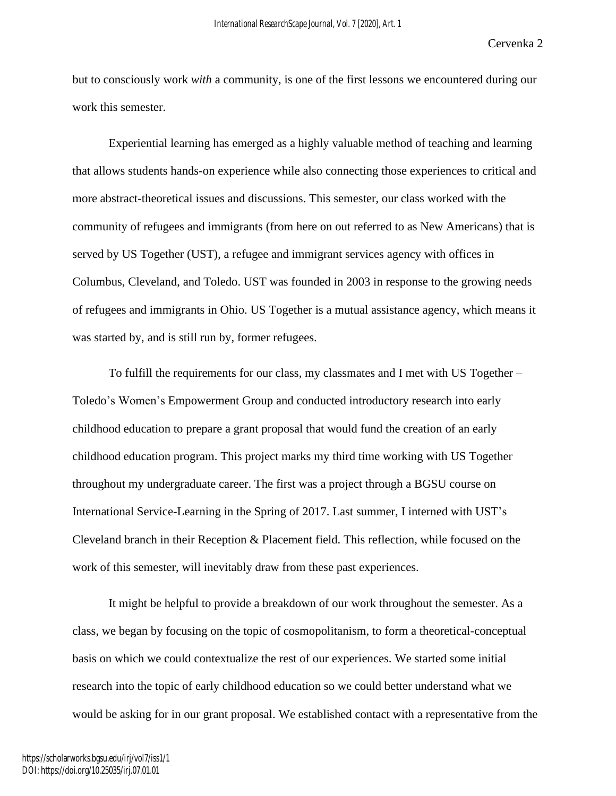but to consciously work *with* a community, is one of the first lessons we encountered during our work this semester.

Experiential learning has emerged as a highly valuable method of teaching and learning that allows students hands-on experience while also connecting those experiences to critical and more abstract-theoretical issues and discussions. This semester, our class worked with the community of refugees and immigrants (from here on out referred to as New Americans) that is served by US Together (UST), a refugee and immigrant services agency with offices in Columbus, Cleveland, and Toledo. UST was founded in 2003 in response to the growing needs of refugees and immigrants in Ohio. US Together is a mutual assistance agency, which means it was started by, and is still run by, former refugees.

To fulfill the requirements for our class, my classmates and I met with US Together – Toledo's Women's Empowerment Group and conducted introductory research into early childhood education to prepare a grant proposal that would fund the creation of an early childhood education program. This project marks my third time working with US Together throughout my undergraduate career. The first was a project through a BGSU course on International Service-Learning in the Spring of 2017. Last summer, I interned with UST's Cleveland branch in their Reception & Placement field. This reflection, while focused on the work of this semester, will inevitably draw from these past experiences.

It might be helpful to provide a breakdown of our work throughout the semester. As a class, we began by focusing on the topic of cosmopolitanism, to form a theoretical-conceptual basis on which we could contextualize the rest of our experiences. We started some initial research into the topic of early childhood education so we could better understand what we would be asking for in our grant proposal. We established contact with a representative from the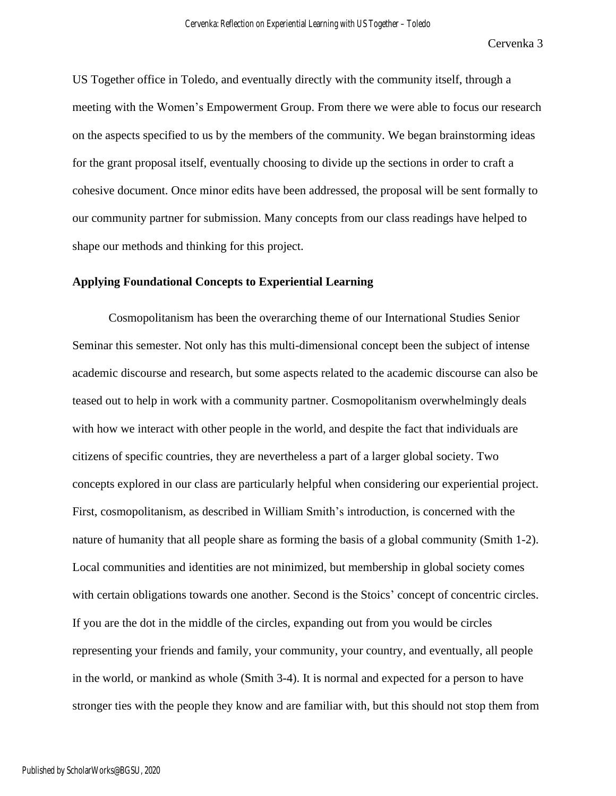US Together office in Toledo, and eventually directly with the community itself, through a meeting with the Women's Empowerment Group. From there we were able to focus our research on the aspects specified to us by the members of the community. We began brainstorming ideas for the grant proposal itself, eventually choosing to divide up the sections in order to craft a cohesive document. Once minor edits have been addressed, the proposal will be sent formally to our community partner for submission. Many concepts from our class readings have helped to shape our methods and thinking for this project.

### **Applying Foundational Concepts to Experiential Learning**

Cosmopolitanism has been the overarching theme of our International Studies Senior Seminar this semester. Not only has this multi-dimensional concept been the subject of intense academic discourse and research, but some aspects related to the academic discourse can also be teased out to help in work with a community partner. Cosmopolitanism overwhelmingly deals with how we interact with other people in the world, and despite the fact that individuals are citizens of specific countries, they are nevertheless a part of a larger global society. Two concepts explored in our class are particularly helpful when considering our experiential project. First, cosmopolitanism, as described in William Smith's introduction, is concerned with the nature of humanity that all people share as forming the basis of a global community (Smith 1-2). Local communities and identities are not minimized, but membership in global society comes with certain obligations towards one another. Second is the Stoics' concept of concentric circles. If you are the dot in the middle of the circles, expanding out from you would be circles representing your friends and family, your community, your country, and eventually, all people in the world, or mankind as whole (Smith 3-4). It is normal and expected for a person to have stronger ties with the people they know and are familiar with, but this should not stop them from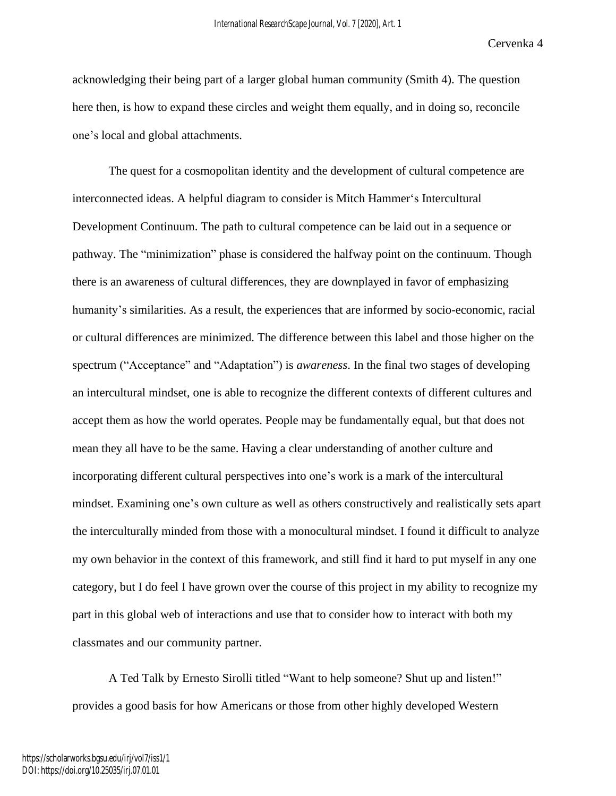acknowledging their being part of a larger global human community (Smith 4). The question here then, is how to expand these circles and weight them equally, and in doing so, reconcile one's local and global attachments.

The quest for a cosmopolitan identity and the development of cultural competence are interconnected ideas. A helpful diagram to consider is Mitch Hammer's Intercultural Development Continuum. The path to cultural competence can be laid out in a sequence or pathway. The "minimization" phase is considered the halfway point on the continuum. Though there is an awareness of cultural differences, they are downplayed in favor of emphasizing humanity's similarities. As a result, the experiences that are informed by socio-economic, racial or cultural differences are minimized. The difference between this label and those higher on the spectrum ("Acceptance" and "Adaptation") is *awareness*. In the final two stages of developing an intercultural mindset, one is able to recognize the different contexts of different cultures and accept them as how the world operates. People may be fundamentally equal, but that does not mean they all have to be the same. Having a clear understanding of another culture and incorporating different cultural perspectives into one's work is a mark of the intercultural mindset. Examining one's own culture as well as others constructively and realistically sets apart the interculturally minded from those with a monocultural mindset. I found it difficult to analyze my own behavior in the context of this framework, and still find it hard to put myself in any one category, but I do feel I have grown over the course of this project in my ability to recognize my part in this global web of interactions and use that to consider how to interact with both my classmates and our community partner.

A Ted Talk by Ernesto Sirolli titled "Want to help someone? Shut up and listen!" provides a good basis for how Americans or those from other highly developed Western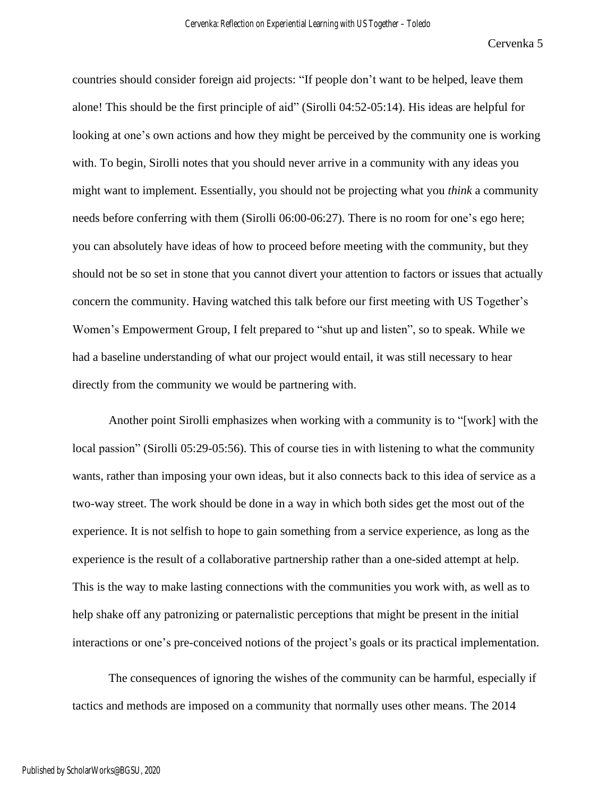countries should consider foreign aid projects: "If people don't want to be helped, leave them alone! This should be the first principle of aid" (Sirolli 04:52-05:14). His ideas are helpful for looking at one's own actions and how they might be perceived by the community one is working with. To begin, Sirolli notes that you should never arrive in a community with any ideas you might want to implement. Essentially, you should not be projecting what you *think* a community needs before conferring with them (Sirolli 06:00-06:27). There is no room for one's ego here; you can absolutely have ideas of how to proceed before meeting with the community, but they should not be so set in stone that you cannot divert your attention to factors or issues that actually concern the community. Having watched this talk before our first meeting with US Together's Women's Empowerment Group, I felt prepared to "shut up and listen", so to speak. While we had a baseline understanding of what our project would entail, it was still necessary to hear directly from the community we would be partnering with.

Another point Sirolli emphasizes when working with a community is to "[work] with the local passion" (Sirolli 05:29-05:56). This of course ties in with listening to what the community wants, rather than imposing your own ideas, but it also connects back to this idea of service as a two-way street. The work should be done in a way in which both sides get the most out of the experience. It is not selfish to hope to gain something from a service experience, as long as the experience is the result of a collaborative partnership rather than a one-sided attempt at help. This is the way to make lasting connections with the communities you work with, as well as to help shake off any patronizing or paternalistic perceptions that might be present in the initial interactions or one's pre-conceived notions of the project's goals or its practical implementation.

The consequences of ignoring the wishes of the community can be harmful, especially if tactics and methods are imposed on a community that normally uses other means. The 2014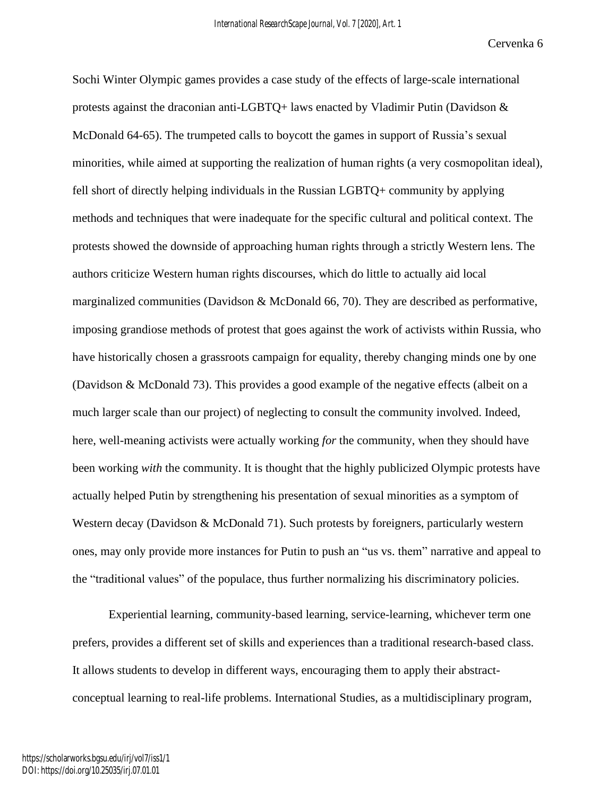Sochi Winter Olympic games provides a case study of the effects of large-scale international protests against the draconian anti-LGBTQ+ laws enacted by Vladimir Putin (Davidson & McDonald 64-65). The trumpeted calls to boycott the games in support of Russia's sexual minorities, while aimed at supporting the realization of human rights (a very cosmopolitan ideal), fell short of directly helping individuals in the Russian LGBTQ+ community by applying methods and techniques that were inadequate for the specific cultural and political context. The protests showed the downside of approaching human rights through a strictly Western lens. The authors criticize Western human rights discourses, which do little to actually aid local marginalized communities (Davidson & McDonald 66, 70). They are described as performative, imposing grandiose methods of protest that goes against the work of activists within Russia, who have historically chosen a grassroots campaign for equality, thereby changing minds one by one (Davidson & McDonald 73). This provides a good example of the negative effects (albeit on a much larger scale than our project) of neglecting to consult the community involved. Indeed, here, well-meaning activists were actually working *for* the community, when they should have been working *with* the community. It is thought that the highly publicized Olympic protests have actually helped Putin by strengthening his presentation of sexual minorities as a symptom of Western decay (Davidson & McDonald 71). Such protests by foreigners, particularly western ones, may only provide more instances for Putin to push an "us vs. them" narrative and appeal to the "traditional values" of the populace, thus further normalizing his discriminatory policies.

Experiential learning, community-based learning, service-learning, whichever term one prefers, provides a different set of skills and experiences than a traditional research-based class. It allows students to develop in different ways, encouraging them to apply their abstractconceptual learning to real-life problems. International Studies, as a multidisciplinary program,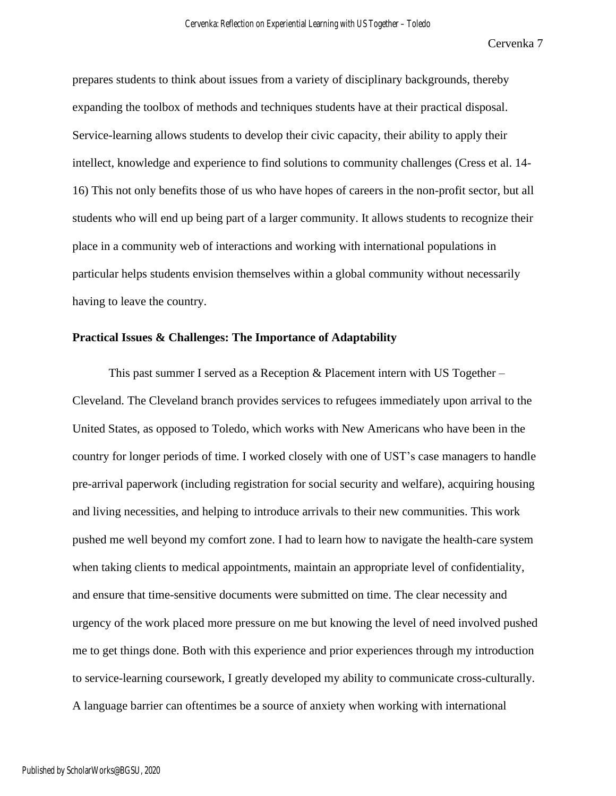prepares students to think about issues from a variety of disciplinary backgrounds, thereby expanding the toolbox of methods and techniques students have at their practical disposal. Service-learning allows students to develop their civic capacity, their ability to apply their intellect, knowledge and experience to find solutions to community challenges (Cress et al. 14- 16) This not only benefits those of us who have hopes of careers in the non-profit sector, but all students who will end up being part of a larger community. It allows students to recognize their place in a community web of interactions and working with international populations in particular helps students envision themselves within a global community without necessarily having to leave the country.

### **Practical Issues & Challenges: The Importance of Adaptability**

This past summer I served as a Reception  $&$  Placement intern with US Together – Cleveland. The Cleveland branch provides services to refugees immediately upon arrival to the United States, as opposed to Toledo, which works with New Americans who have been in the country for longer periods of time. I worked closely with one of UST's case managers to handle pre-arrival paperwork (including registration for social security and welfare), acquiring housing and living necessities, and helping to introduce arrivals to their new communities. This work pushed me well beyond my comfort zone. I had to learn how to navigate the health-care system when taking clients to medical appointments, maintain an appropriate level of confidentiality, and ensure that time-sensitive documents were submitted on time. The clear necessity and urgency of the work placed more pressure on me but knowing the level of need involved pushed me to get things done. Both with this experience and prior experiences through my introduction to service-learning coursework, I greatly developed my ability to communicate cross-culturally. A language barrier can oftentimes be a source of anxiety when working with international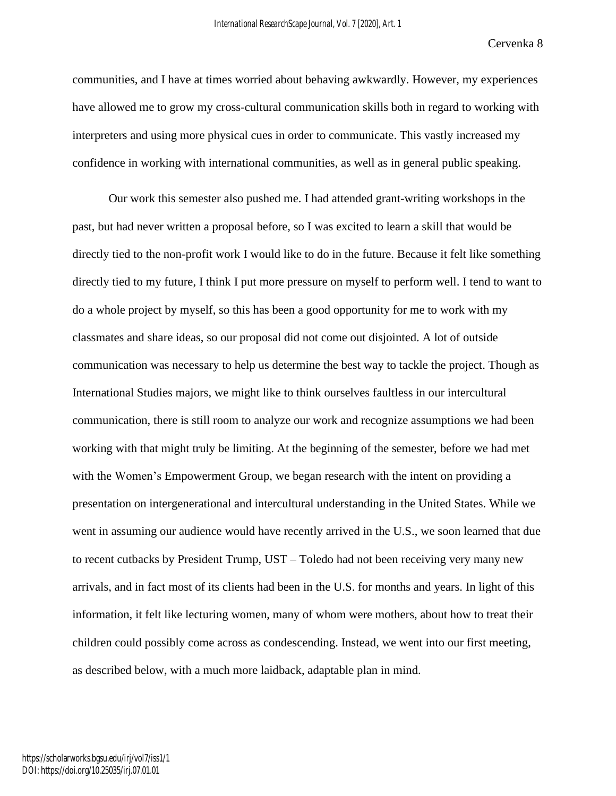communities, and I have at times worried about behaving awkwardly. However, my experiences have allowed me to grow my cross-cultural communication skills both in regard to working with interpreters and using more physical cues in order to communicate. This vastly increased my confidence in working with international communities, as well as in general public speaking.

Our work this semester also pushed me. I had attended grant-writing workshops in the past, but had never written a proposal before, so I was excited to learn a skill that would be directly tied to the non-profit work I would like to do in the future. Because it felt like something directly tied to my future, I think I put more pressure on myself to perform well. I tend to want to do a whole project by myself, so this has been a good opportunity for me to work with my classmates and share ideas, so our proposal did not come out disjointed. A lot of outside communication was necessary to help us determine the best way to tackle the project. Though as International Studies majors, we might like to think ourselves faultless in our intercultural communication, there is still room to analyze our work and recognize assumptions we had been working with that might truly be limiting. At the beginning of the semester, before we had met with the Women's Empowerment Group, we began research with the intent on providing a presentation on intergenerational and intercultural understanding in the United States. While we went in assuming our audience would have recently arrived in the U.S., we soon learned that due to recent cutbacks by President Trump, UST – Toledo had not been receiving very many new arrivals, and in fact most of its clients had been in the U.S. for months and years. In light of this information, it felt like lecturing women, many of whom were mothers, about how to treat their children could possibly come across as condescending. Instead, we went into our first meeting, as described below, with a much more laidback, adaptable plan in mind.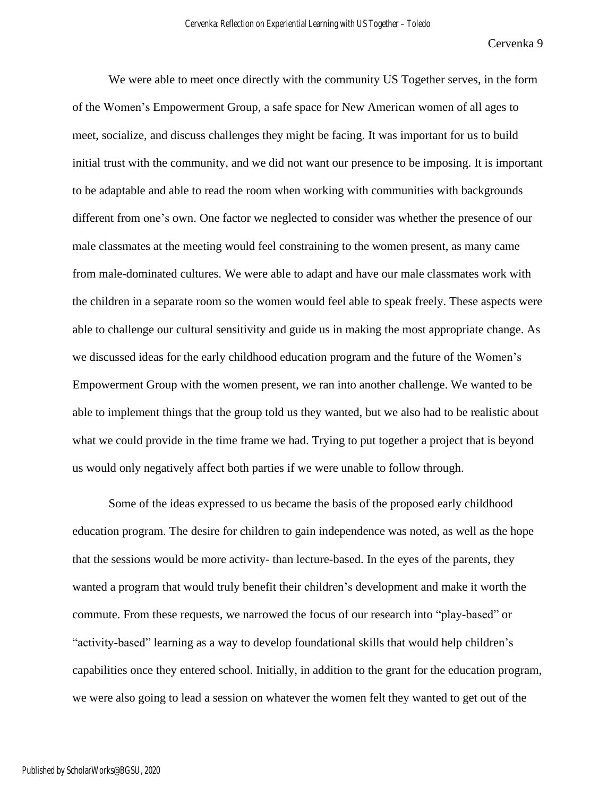We were able to meet once directly with the community US Together serves, in the form of the Women's Empowerment Group, a safe space for New American women of all ages to meet, socialize, and discuss challenges they might be facing. It was important for us to build initial trust with the community, and we did not want our presence to be imposing. It is important to be adaptable and able to read the room when working with communities with backgrounds different from one's own. One factor we neglected to consider was whether the presence of our male classmates at the meeting would feel constraining to the women present, as many came from male-dominated cultures. We were able to adapt and have our male classmates work with the children in a separate room so the women would feel able to speak freely. These aspects were able to challenge our cultural sensitivity and guide us in making the most appropriate change. As we discussed ideas for the early childhood education program and the future of the Women's Empowerment Group with the women present, we ran into another challenge. We wanted to be able to implement things that the group told us they wanted, but we also had to be realistic about what we could provide in the time frame we had. Trying to put together a project that is beyond us would only negatively affect both parties if we were unable to follow through.

Some of the ideas expressed to us became the basis of the proposed early childhood education program. The desire for children to gain independence was noted, as well as the hope that the sessions would be more activity- than lecture-based. In the eyes of the parents, they wanted a program that would truly benefit their children's development and make it worth the commute. From these requests, we narrowed the focus of our research into "play-based" or "activity-based" learning as a way to develop foundational skills that would help children's capabilities once they entered school. Initially, in addition to the grant for the education program, we were also going to lead a session on whatever the women felt they wanted to get out of the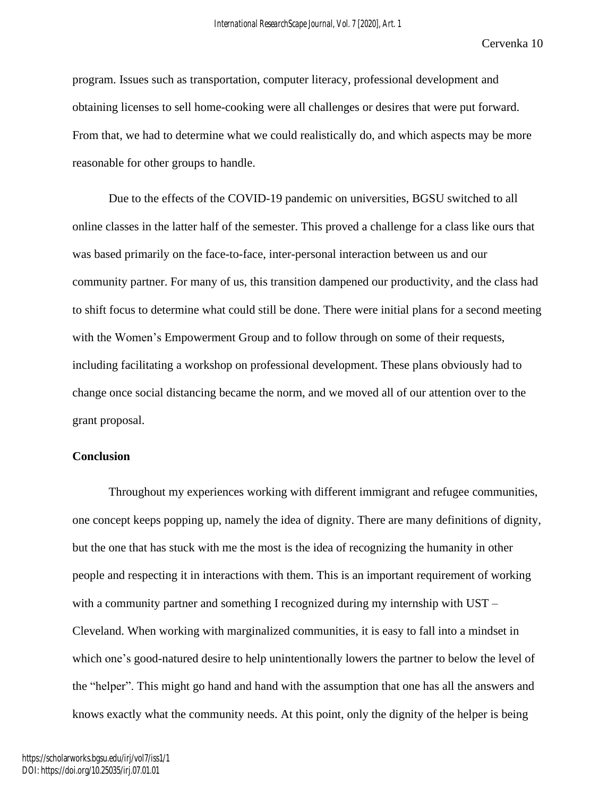program. Issues such as transportation, computer literacy, professional development and obtaining licenses to sell home-cooking were all challenges or desires that were put forward. From that, we had to determine what we could realistically do, and which aspects may be more reasonable for other groups to handle.

Due to the effects of the COVID-19 pandemic on universities, BGSU switched to all online classes in the latter half of the semester. This proved a challenge for a class like ours that was based primarily on the face-to-face, inter-personal interaction between us and our community partner. For many of us, this transition dampened our productivity, and the class had to shift focus to determine what could still be done. There were initial plans for a second meeting with the Women's Empowerment Group and to follow through on some of their requests, including facilitating a workshop on professional development. These plans obviously had to change once social distancing became the norm, and we moved all of our attention over to the grant proposal.

### **Conclusion**

Throughout my experiences working with different immigrant and refugee communities, one concept keeps popping up, namely the idea of dignity. There are many definitions of dignity, but the one that has stuck with me the most is the idea of recognizing the humanity in other people and respecting it in interactions with them. This is an important requirement of working with a community partner and something I recognized during my internship with UST – Cleveland. When working with marginalized communities, it is easy to fall into a mindset in which one's good-natured desire to help unintentionally lowers the partner to below the level of the "helper". This might go hand and hand with the assumption that one has all the answers and knows exactly what the community needs. At this point, only the dignity of the helper is being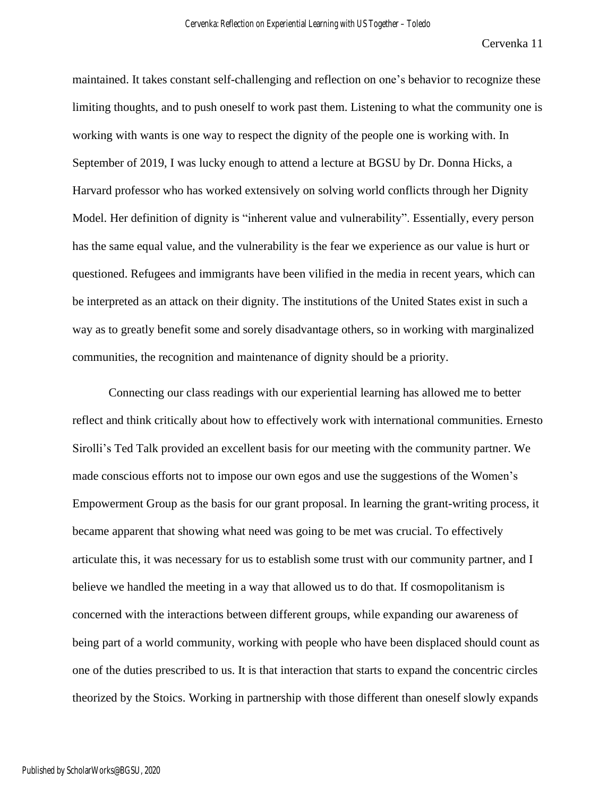maintained. It takes constant self-challenging and reflection on one's behavior to recognize these limiting thoughts, and to push oneself to work past them. Listening to what the community one is working with wants is one way to respect the dignity of the people one is working with. In September of 2019, I was lucky enough to attend a lecture at BGSU by Dr. Donna Hicks, a Harvard professor who has worked extensively on solving world conflicts through her Dignity Model. Her definition of dignity is "inherent value and vulnerability". Essentially, every person has the same equal value, and the vulnerability is the fear we experience as our value is hurt or questioned. Refugees and immigrants have been vilified in the media in recent years, which can be interpreted as an attack on their dignity. The institutions of the United States exist in such a way as to greatly benefit some and sorely disadvantage others, so in working with marginalized communities, the recognition and maintenance of dignity should be a priority.

Connecting our class readings with our experiential learning has allowed me to better reflect and think critically about how to effectively work with international communities. Ernesto Sirolli's Ted Talk provided an excellent basis for our meeting with the community partner. We made conscious efforts not to impose our own egos and use the suggestions of the Women's Empowerment Group as the basis for our grant proposal. In learning the grant-writing process, it became apparent that showing what need was going to be met was crucial. To effectively articulate this, it was necessary for us to establish some trust with our community partner, and I believe we handled the meeting in a way that allowed us to do that. If cosmopolitanism is concerned with the interactions between different groups, while expanding our awareness of being part of a world community, working with people who have been displaced should count as one of the duties prescribed to us. It is that interaction that starts to expand the concentric circles theorized by the Stoics. Working in partnership with those different than oneself slowly expands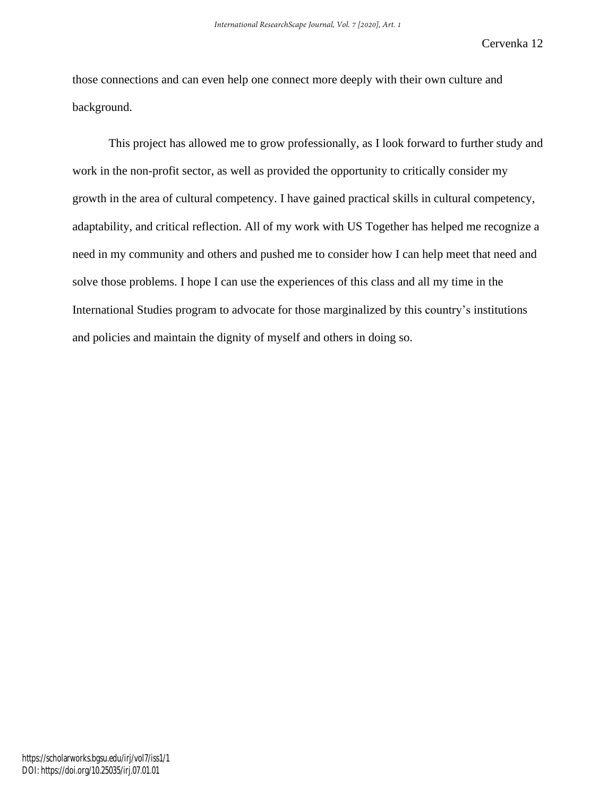those connections and can even help one connect more deeply with their own culture and background.

This project has allowed me to grow professionally, as I look forward to further study and work in the non-profit sector, as well as provided the opportunity to critically consider my growth in the area of cultural competency. I have gained practical skills in cultural competency, adaptability, and critical reflection. All of my work with US Together has helped me recognize a need in my community and others and pushed me to consider how I can help meet that need and solve those problems. I hope I can use the experiences of this class and all my time in the International Studies program to advocate for those marginalized by this country's institutions and policies and maintain the dignity of myself and others in doing so.